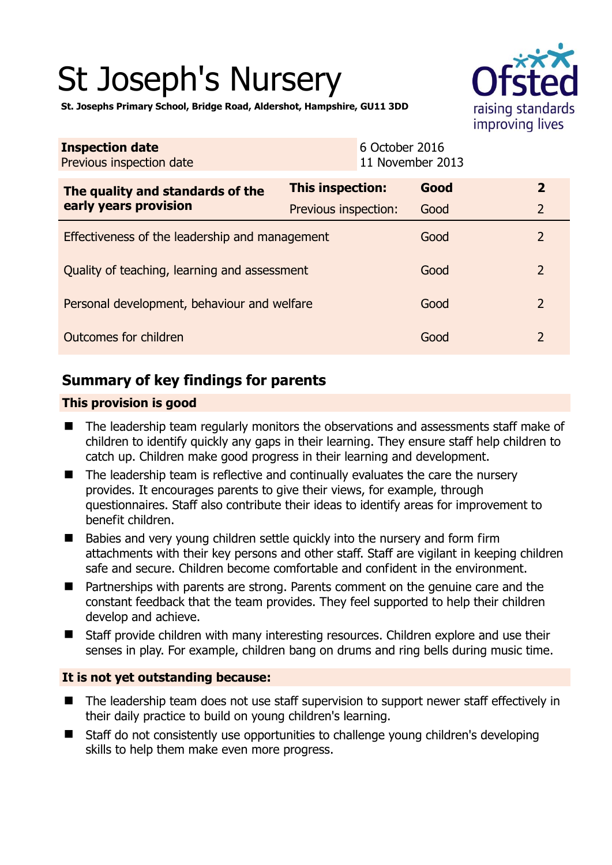# St Joseph's Nursery



**St. Josephs Primary School, Bridge Road, Aldershot, Hampshire, GU11 3DD** 

| <b>Inspection date</b><br>Previous inspection date |                      | 6 October 2016<br>11 November 2013 |      |                |
|----------------------------------------------------|----------------------|------------------------------------|------|----------------|
| The quality and standards of the                   | This inspection:     |                                    | Good | $\mathbf{2}$   |
| early years provision                              | Previous inspection: |                                    | Good | $\overline{2}$ |
| Effectiveness of the leadership and management     |                      |                                    | Good | 2              |
| Quality of teaching, learning and assessment       |                      |                                    | Good | $\overline{2}$ |
| Personal development, behaviour and welfare        |                      |                                    | Good | 2              |
| Outcomes for children                              |                      |                                    | Good | 2              |

# **Summary of key findings for parents**

## **This provision is good**

- The leadership team regularly monitors the observations and assessments staff make of children to identify quickly any gaps in their learning. They ensure staff help children to catch up. Children make good progress in their learning and development.
- $\blacksquare$  The leadership team is reflective and continually evaluates the care the nursery provides. It encourages parents to give their views, for example, through questionnaires. Staff also contribute their ideas to identify areas for improvement to benefit children.
- **Babies and very young children settle quickly into the nursery and form firm** attachments with their key persons and other staff. Staff are vigilant in keeping children safe and secure. Children become comfortable and confident in the environment.
- Partnerships with parents are strong. Parents comment on the genuine care and the constant feedback that the team provides. They feel supported to help their children develop and achieve.
- Staff provide children with many interesting resources. Children explore and use their senses in play. For example, children bang on drums and ring bells during music time.

## **It is not yet outstanding because:**

- The leadership team does not use staff supervision to support newer staff effectively in their daily practice to build on young children's learning.
- Staff do not consistently use opportunities to challenge young children's developing skills to help them make even more progress.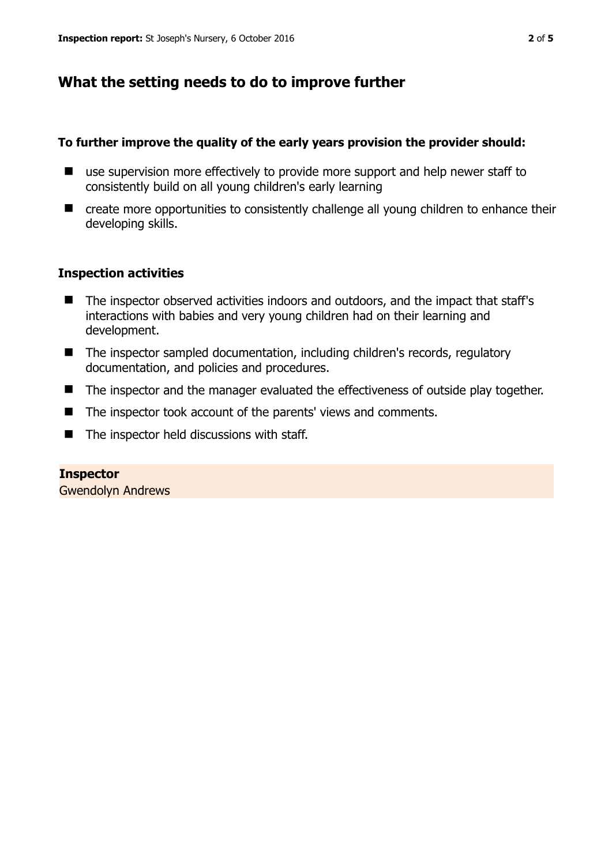# **What the setting needs to do to improve further**

## **To further improve the quality of the early years provision the provider should:**

- use supervision more effectively to provide more support and help newer staff to consistently build on all young children's early learning
- create more opportunities to consistently challenge all young children to enhance their developing skills.

## **Inspection activities**

- The inspector observed activities indoors and outdoors, and the impact that staff's interactions with babies and very young children had on their learning and development.
- The inspector sampled documentation, including children's records, regulatory documentation, and policies and procedures.
- The inspector and the manager evaluated the effectiveness of outside play together.
- The inspector took account of the parents' views and comments.
- $\blacksquare$  The inspector held discussions with staff.

# **Inspector**

Gwendolyn Andrews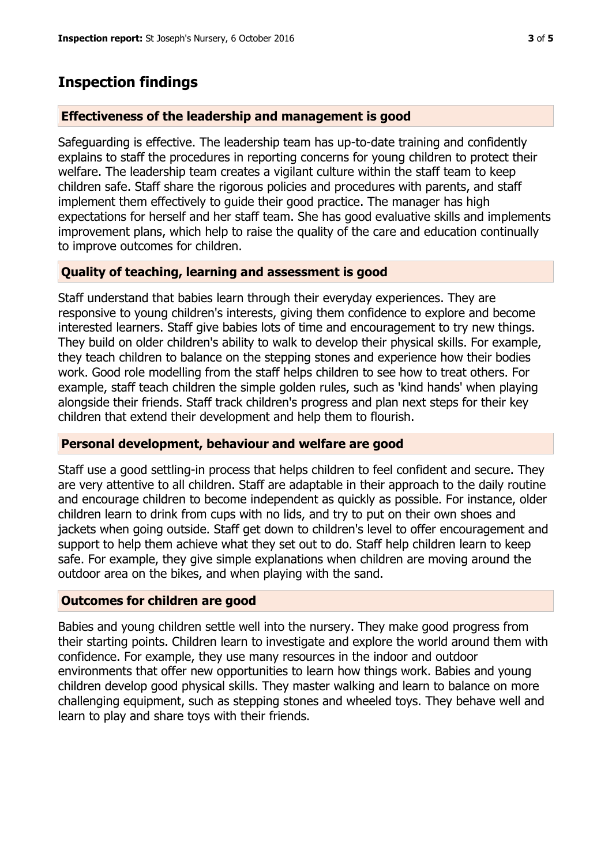# **Inspection findings**

## **Effectiveness of the leadership and management is good**

Safeguarding is effective. The leadership team has up-to-date training and confidently explains to staff the procedures in reporting concerns for young children to protect their welfare. The leadership team creates a vigilant culture within the staff team to keep children safe. Staff share the rigorous policies and procedures with parents, and staff implement them effectively to guide their good practice. The manager has high expectations for herself and her staff team. She has good evaluative skills and implements improvement plans, which help to raise the quality of the care and education continually to improve outcomes for children.

# **Quality of teaching, learning and assessment is good**

Staff understand that babies learn through their everyday experiences. They are responsive to young children's interests, giving them confidence to explore and become interested learners. Staff give babies lots of time and encouragement to try new things. They build on older children's ability to walk to develop their physical skills. For example, they teach children to balance on the stepping stones and experience how their bodies work. Good role modelling from the staff helps children to see how to treat others. For example, staff teach children the simple golden rules, such as 'kind hands' when playing alongside their friends. Staff track children's progress and plan next steps for their key children that extend their development and help them to flourish.

## **Personal development, behaviour and welfare are good**

Staff use a good settling-in process that helps children to feel confident and secure. They are very attentive to all children. Staff are adaptable in their approach to the daily routine and encourage children to become independent as quickly as possible. For instance, older children learn to drink from cups with no lids, and try to put on their own shoes and jackets when going outside. Staff get down to children's level to offer encouragement and support to help them achieve what they set out to do. Staff help children learn to keep safe. For example, they give simple explanations when children are moving around the outdoor area on the bikes, and when playing with the sand.

## **Outcomes for children are good**

Babies and young children settle well into the nursery. They make good progress from their starting points. Children learn to investigate and explore the world around them with confidence. For example, they use many resources in the indoor and outdoor environments that offer new opportunities to learn how things work. Babies and young children develop good physical skills. They master walking and learn to balance on more challenging equipment, such as stepping stones and wheeled toys. They behave well and learn to play and share toys with their friends.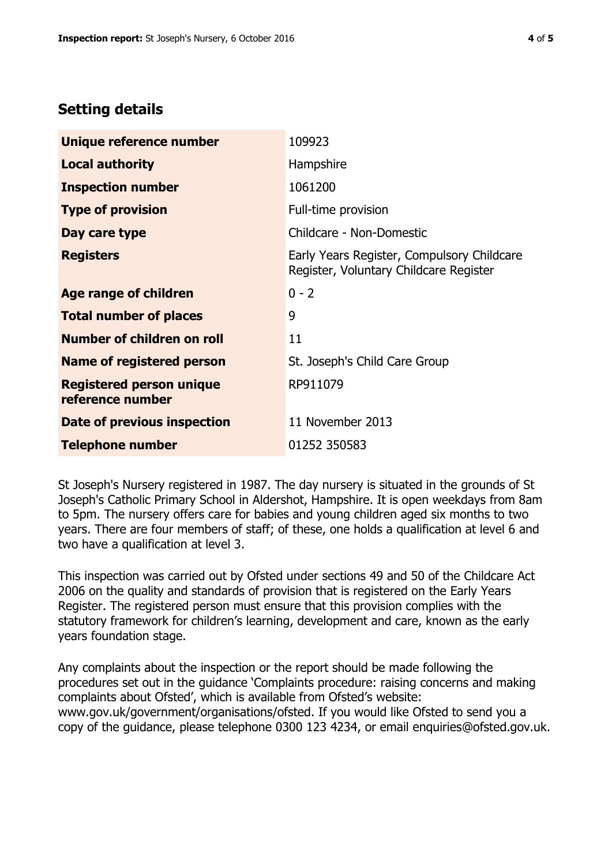# **Setting details**

| Unique reference number                             | 109923                                                                               |  |
|-----------------------------------------------------|--------------------------------------------------------------------------------------|--|
| <b>Local authority</b>                              | Hampshire                                                                            |  |
| <b>Inspection number</b>                            | 1061200                                                                              |  |
| <b>Type of provision</b>                            | Full-time provision                                                                  |  |
| Day care type                                       | Childcare - Non-Domestic                                                             |  |
| <b>Registers</b>                                    | Early Years Register, Compulsory Childcare<br>Register, Voluntary Childcare Register |  |
| Age range of children                               | $0 - 2$                                                                              |  |
| <b>Total number of places</b>                       | 9                                                                                    |  |
| Number of children on roll                          | 11                                                                                   |  |
| Name of registered person                           | St. Joseph's Child Care Group                                                        |  |
| <b>Registered person unique</b><br>reference number | RP911079                                                                             |  |
| <b>Date of previous inspection</b>                  | 11 November 2013                                                                     |  |
| <b>Telephone number</b>                             | 01252 350583                                                                         |  |

St Joseph's Nursery registered in 1987. The day nursery is situated in the grounds of St Joseph's Catholic Primary School in Aldershot, Hampshire. It is open weekdays from 8am to 5pm. The nursery offers care for babies and young children aged six months to two years. There are four members of staff; of these, one holds a qualification at level 6 and two have a qualification at level 3.

This inspection was carried out by Ofsted under sections 49 and 50 of the Childcare Act 2006 on the quality and standards of provision that is registered on the Early Years Register. The registered person must ensure that this provision complies with the statutory framework for children's learning, development and care, known as the early years foundation stage.

Any complaints about the inspection or the report should be made following the procedures set out in the guidance 'Complaints procedure: raising concerns and making complaints about Ofsted', which is available from Ofsted's website: www.gov.uk/government/organisations/ofsted. If you would like Ofsted to send you a copy of the guidance, please telephone 0300 123 4234, or email enquiries@ofsted.gov.uk.